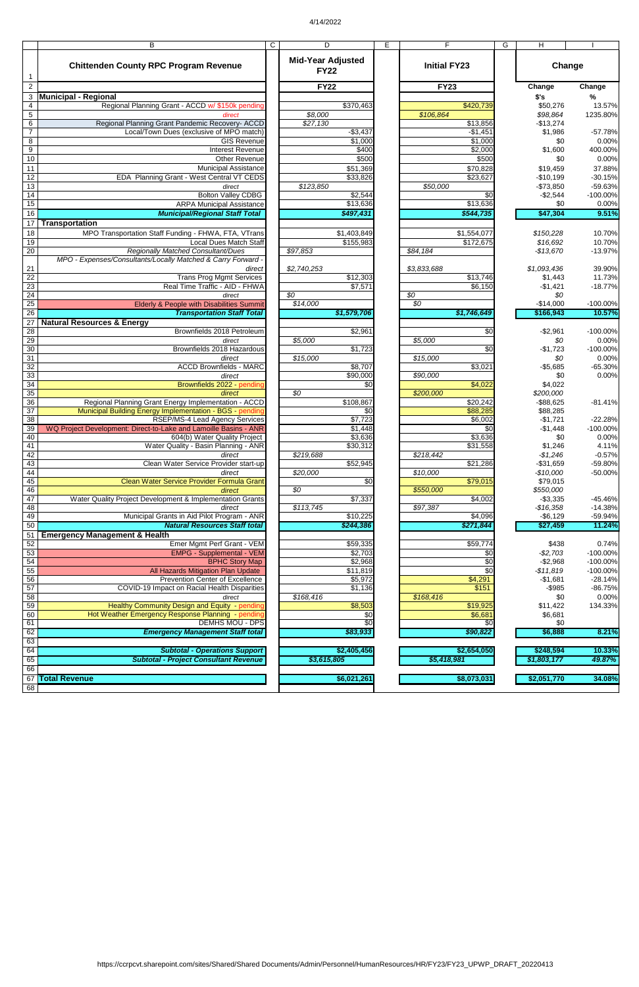## 4/14/2022

63

|                                    | B                                                                | C | D                                       | E   | F                      | G | Н                       |                            |
|------------------------------------|------------------------------------------------------------------|---|-----------------------------------------|-----|------------------------|---|-------------------------|----------------------------|
|                                    | <b>Chittenden County RPC Program Revenue</b>                     |   | <b>Mid-Year Adjusted</b><br><b>FY22</b> |     | <b>Initial FY23</b>    |   |                         | Change                     |
| $\overline{2}$                     |                                                                  |   | <b>FY22</b>                             |     | <b>FY23</b>            |   | Change                  | Change                     |
| 3                                  | <b>Municipal - Regional</b>                                      |   |                                         |     |                        |   | \$'s                    | %                          |
| $\overline{\mathbf{4}}$            | Regional Planning Grant - ACCD w/ \$150k pending                 |   | \$370,463                               |     | \$420,739              |   | \$50,276                | 13.57%                     |
| $5\phantom{.0}$                    | direct                                                           |   | \$8,000                                 |     | \$106,864              |   | \$98,864                | 1235.80%                   |
| $\,6$                              | Regional Planning Grant Pandemic Recovery- ACCD                  |   | \$27,130                                |     | \$13,856               |   | $-$13,274$              |                            |
| $\overline{7}$                     | Local/Town Dues (exclusive of MPO match)                         |   | $-$3,437$                               |     | $-$1,451$              |   | \$1,986                 | $-57.78%$                  |
| $\,8\,$                            | <b>GIS Revenue</b>                                               |   | \$1,000                                 |     | \$1,000                |   | \$0                     | 0.00%                      |
| 9                                  | <b>Interest Revenue</b>                                          |   | \$400                                   |     | $\sqrt{$2,000}$        |   | \$1,600                 | 400.00%                    |
| 10                                 | <b>Other Revenue</b>                                             |   | \$500                                   |     | \$500                  |   | \$0                     | 0.00%                      |
| 11                                 | <b>Municipal Assistance</b>                                      |   | \$51,369                                |     | \$70,828               |   | \$19,459                | 37.88%                     |
| 12                                 | EDA Planning Grant - West Central VT CEDS                        |   | \$33,826                                |     | \$23,627               |   | $-$10,199$              | $-30.15%$                  |
| $\overline{13}$<br>$\overline{14}$ | direct<br><b>Bolton Valley CDBG</b>                              |   | \$123,850<br>\$2,544                    |     | \$50,000<br>\$0        |   | $-$73,850$<br>$-$2,544$ | $-59.63%$<br>$-100.00\%$   |
| 15                                 | <b>ARPA Municipal Assistance</b>                                 |   | \$13,636                                |     | \$13,636               |   | \$0                     | 0.00%                      |
| 16                                 | <b>Municipal/Regional Staff Total</b>                            |   | \$497,431                               |     | \$544,735              |   | \$47,304                | 9.51%                      |
| 17                                 | <b>Transportation</b>                                            |   |                                         |     |                        |   |                         |                            |
| 18                                 | MPO Transportation Staff Funding - FHWA, FTA, VTrans             |   | \$1,403,849                             |     | \$1,554,077            |   | \$150,228               | 10.70%                     |
| 19                                 | <b>Local Dues Match Staff</b>                                    |   | \$155,983                               |     | \$172,675              |   | \$16,692                | 10.70%                     |
| $\overline{20}$                    | <b>Regionally Matched Consultant/Dues</b>                        |   | \$97,853                                |     | \$84,184               |   | $-$13,670$              | $-13.97%$                  |
|                                    | MPO - Expenses/Consultants/Locally Matched & Carry Forward -     |   |                                         |     |                        |   |                         |                            |
| 21                                 | direct                                                           |   | \$2,740,253                             |     | \$3,833,688            |   | \$1,093,436             | 39.90%                     |
| $\overline{22}$                    | <b>Trans Prog Mgmt Services</b>                                  |   | \$12,303                                |     | \$13,746               |   | \$1,443                 | 11.73%                     |
| $\overline{23}$                    | Real Time Traffic - AID - FHWA                                   |   | \$7,571                                 |     | \$6,150                |   | $-$1,421$               | $-18.77%$                  |
| $\overline{24}$                    | direct                                                           |   | $\overline{30}$                         |     | $\overline{50}$        |   | \$0                     |                            |
| 25                                 | Elderly & People with Disabilities Summit                        |   | \$14,000                                |     | \$0                    |   | $-$14,000$              | $-100.00\%$                |
| $\overline{26}$                    | <b>Transportation Staff Total</b>                                |   | \$1,579,706                             |     | \$1,746,649            |   | \$166,943               | 10.57%                     |
| 27                                 | <b>Natural Resources &amp; Energy</b>                            |   |                                         |     |                        |   |                         |                            |
| 28                                 | Brownfields 2018 Petroleum                                       |   | \$2,961                                 |     | \$0                    |   | $-$2,961$               | $-100.00\%$                |
| 29                                 | direct                                                           |   | \$5,000                                 |     | \$5,000                |   | \$0                     | 0.00%                      |
| 30<br>$\overline{31}$              | Brownfields 2018 Hazardous                                       |   | \$1,723<br>\$15,000                     |     | \$0<br>\$15,000        |   | $-$1,723$<br>\$0        | $-100.00\%$<br>0.00%       |
| 32                                 | direct<br><b>ACCD Brownfields - MARC</b>                         |   | \$8,707                                 |     | \$3,021                |   | $-$5,685$               | $-65.30%$                  |
| 33                                 | direct                                                           |   | \$90,000                                |     | \$90,000               |   | \$0                     | 0.00%                      |
| 34                                 | Brownfields 2022 - pending                                       |   |                                         | \$0 | \$4,022                |   | \$4,022                 |                            |
| 35                                 | direct                                                           |   | \$0                                     |     | \$200,000              |   | \$200,000               |                            |
| 36                                 | Regional Planning Grant Energy Implementation - ACCD             |   | \$108,867                               |     | \$20,242               |   | $-$ \$88,625            | $-81.41%$                  |
| $\overline{37}$                    | Municipal Building Energy Implementation - BGS - pending         |   |                                         | \$0 | \$88,285               |   | \$88,285                |                            |
| 38                                 | <b>RSEP/MS-4 Lead Agency Services</b>                            |   | \$7,723                                 |     | \$6,002                |   | $-$1,721$               | $-22.28%$                  |
| 39                                 | WQ Project Development: Direct-to-Lake and Lamoille Basins - ANR |   | \$1,448                                 |     | \$0                    |   | $-$1,448$               | $-100.00\%$                |
| 40                                 | 604(b) Water Quality Project                                     |   | \$3,636                                 |     | \$3,636                |   | \$0                     | 0.00%                      |
| 41                                 | Water Quality - Basin Planning - ANR                             |   | \$30,312                                |     | \$31,558               |   | \$1,246                 | 4.11%                      |
| 42<br>43                           | direct<br>Clean Water Service Provider start-up                  |   | \$219,688<br>\$52,945                   |     | \$218,442<br>\$21,286  |   | $-$1,246$<br>$-$31,659$ | $-0.57%$<br>$-59.80\%$     |
| 44                                 | direct                                                           |   | \$20,000                                |     | \$10,000               |   | $-$10,000$              | $-50.00%$                  |
| 45                                 | Clean Water Service Provider Formula Grant                       |   |                                         | \$0 | \$79,015               |   | \$79,015                |                            |
| 46                                 | direct                                                           |   | $\overline{50}$                         |     | \$550,000              |   | \$550,000               |                            |
| 47                                 | Water Quality Project Development & Implementation Grants        |   | \$7,337                                 |     | \$4,002                |   | $-$3,335$               | $-45.46%$                  |
| 48                                 | direct                                                           |   | \$113,745                               |     | \$97,387               |   | $-$16,358$              | $-14.38%$                  |
| 49                                 | Municipal Grants in Aid Pilot Program - ANR                      |   | \$10,225                                |     | \$4,096                |   | $-$6,129$               | $-59.94%$                  |
| 50                                 | <b>Natural Resources Staff total</b>                             |   | \$244,386                               |     | \$271,844              |   | \$27,459                | 11.24%                     |
| 51                                 | <b>Emergency Management &amp; Health</b>                         |   |                                         |     |                        |   |                         |                            |
| 52                                 | Emer Mgmt Perf Grant - VEM                                       |   | \$59,335                                |     | \$59,774               |   | \$438                   | 0.74%                      |
| 53                                 | <b>EMPG - Supplemental - VEM</b><br><b>BPHC Story Map</b>        |   | \$2,703                                 |     | \$0<br>$\overline{30}$ |   | $-$2,703$               | $-100.00\%$                |
| 54<br>$\overline{55}$              | All Hazards Mitigation Plan Update                               |   | \$2,968<br>\$11,819                     |     | $\overline{30}$        |   | $-$2,968$<br>$-$11,819$ | $-100.00\%$<br>$-100.00\%$ |
| 56                                 | Prevention Center of Excellence                                  |   | \$5,972                                 |     | \$4,291                |   | $-$1,681$               | $-28.14%$                  |
| 57                                 | COVID-19 Impact on Racial Health Disparities                     |   | \$1,136                                 |     | \$151                  |   | $-$ \$985               | $-86.75%$                  |
| $\overline{58}$                    | direct                                                           |   | \$168,416                               |     | \$168,416              |   | \$0                     | 0.00%                      |
| $\overline{59}$                    | Healthy Community Design and Equity - pending                    |   | \$8,503                                 |     | \$19,925               |   | \$11,422                | 134.33%                    |
| 60                                 | Hot Weather Emergency Response Planning - pending                |   |                                         | \$0 | \$6,681                |   | \$6,681                 |                            |
| 61                                 | <b>DEMHS MOU - DPS</b>                                           |   |                                         | \$0 | \$                     |   | \$0                     |                            |
| 62                                 | <b>Emergency Management Staff total</b>                          |   | \$83,933                                |     | \$90,822               |   | \$6,888                 | 8.21%                      |

| 64 | - Operations Support<br><b>Subtotal</b>    | \$2,405,456             | \$2,654,050 | \$248,594   | 10.33% |
|----|--------------------------------------------|-------------------------|-------------|-------------|--------|
| 65 | - Proiect Consultant Revenue<br>Subtotal - | <b>53.615.805</b><br>でつ | \$5,418,981 | \$1,803,177 | 49.87% |
| 66 |                                            |                         |             |             |        |
|    | 67 Total Revenue                           | \$6,021,261             | \$8,073,031 | \$2,051,770 | 34.08% |
| 68 |                                            |                         |             |             |        |